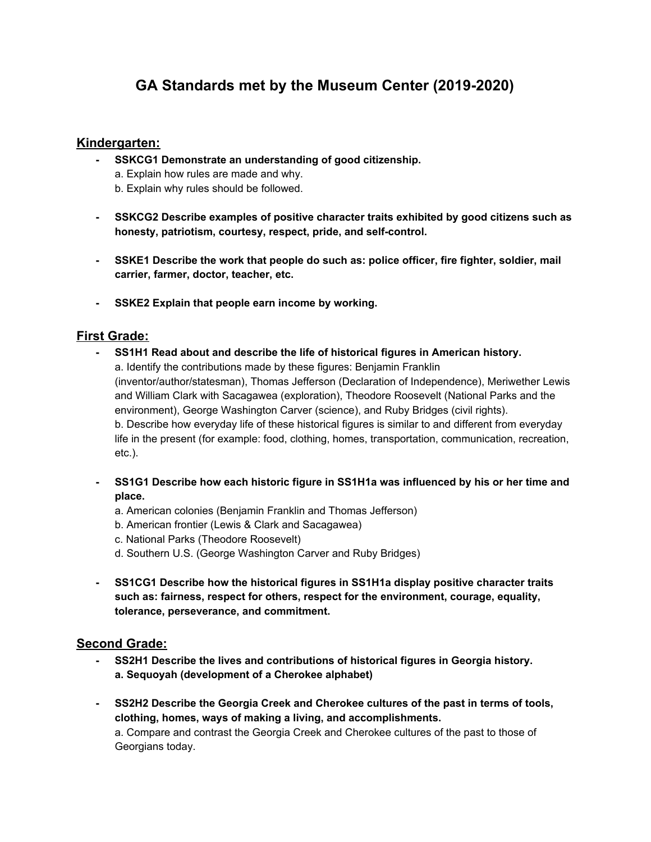# **GA Standards met by the Museum Center (2019-2020)**

# **Kindergarten:**

- **- SSKCG1 Demonstrate an understanding of good citizenship.** a. Explain how rules are made and why. b. Explain why rules should be followed.
- **- SSKCG2 Describe examples of positive character traits exhibited by good citizens such as honesty, patriotism, courtesy, respect, pride, and self-control.**
- **- SSKE1 Describe the work that people do such as: police officer, fire fighter, soldier, mail carrier, farmer, doctor, teacher, etc.**
- **- SSKE2 Explain that people earn income by working.**

# **First Grade:**

- **- SS1H1 Read about and describe the life of historical figures in American history.** a. Identify the contributions made by these figures: Benjamin Franklin (inventor/author/statesman), Thomas Jefferson (Declaration of Independence), Meriwether Lewis and William Clark with Sacagawea (exploration), Theodore Roosevelt (National Parks and the environment), George Washington Carver (science), and Ruby Bridges (civil rights). b. Describe how everyday life of these historical figures is similar to and different from everyday life in the present (for example: food, clothing, homes, transportation, communication, recreation, etc.).
- **- SS1G1 Describe how each historic figure in SS1H1a was influenced by his or her time and place.**
	- a. American colonies (Benjamin Franklin and Thomas Jefferson)
	- b. American frontier (Lewis & Clark and Sacagawea)
	- c. National Parks (Theodore Roosevelt)
	- d. Southern U.S. (George Washington Carver and Ruby Bridges)
- **- SS1CG1 Describe how the historical figures in SS1H1a display positive character traits such as: fairness, respect for others, respect for the environment, courage, equality, tolerance, perseverance, and commitment.**

# **Second Grade:**

- **- SS2H1 Describe the lives and contributions of historical figures in Georgia history. a. Sequoyah (development of a Cherokee alphabet)**
- **- SS2H2 Describe the Georgia Creek and Cherokee cultures of the past in terms of tools, clothing, homes, ways of making a living, and accomplishments.** a. Compare and contrast the Georgia Creek and Cherokee cultures of the past to those of Georgians today.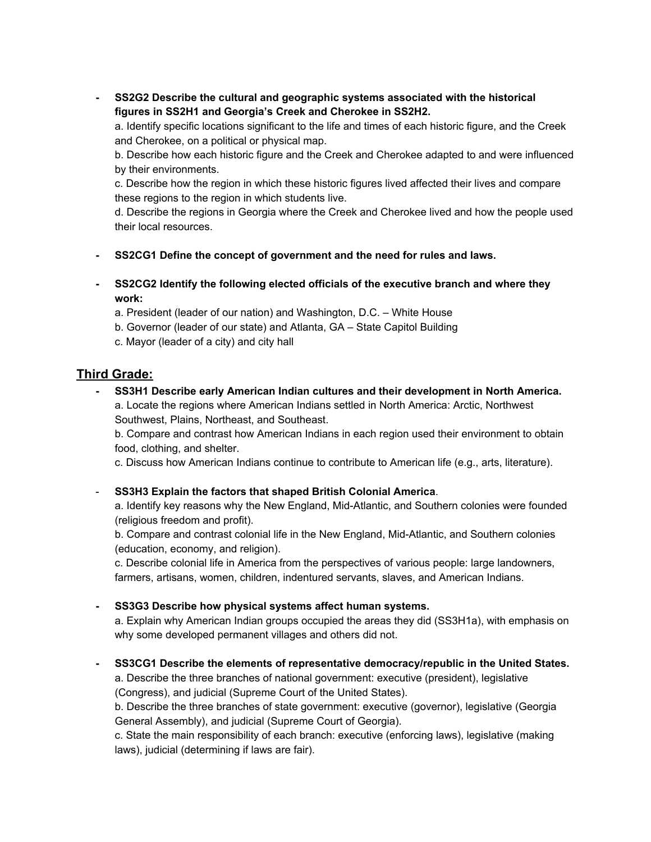**- SS2G2 Describe the cultural and geographic systems associated with the historical figures in SS2H1 and Georgia's Creek and Cherokee in SS2H2.**

a. Identify specific locations significant to the life and times of each historic figure, and the Creek and Cherokee, on a political or physical map.

b. Describe how each historic figure and the Creek and Cherokee adapted to and were influenced by their environments.

c. Describe how the region in which these historic figures lived affected their lives and compare these regions to the region in which students live.

d. Describe the regions in Georgia where the Creek and Cherokee lived and how the people used their local resources.

- **- SS2CG1 Define the concept of government and the need for rules and laws.**
- **- SS2CG2 Identify the following elected officials of the executive branch and where they work:**

a. President (leader of our nation) and Washington, D.C. – White House

- b. Governor (leader of our state) and Atlanta, GA State Capitol Building
- c. Mayor (leader of a city) and city hall

# **Third Grade:**

**- SS3H1 Describe early American Indian cultures and their development in North America.** a. Locate the regions where American Indians settled in North America: Arctic, Northwest Southwest, Plains, Northeast, and Southeast.

b. Compare and contrast how American Indians in each region used their environment to obtain food, clothing, and shelter.

c. Discuss how American Indians continue to contribute to American life (e.g., arts, literature).

- **SS3H3 Explain the factors that shaped British Colonial America**.

a. Identify key reasons why the New England, Mid-Atlantic, and Southern colonies were founded (religious freedom and profit).

b. Compare and contrast colonial life in the New England, Mid-Atlantic, and Southern colonies (education, economy, and religion).

c. Describe colonial life in America from the perspectives of various people: large landowners, farmers, artisans, women, children, indentured servants, slaves, and American Indians.

**- SS3G3 Describe how physical systems affect human systems.**

a. Explain why American Indian groups occupied the areas they did (SS3H1a), with emphasis on why some developed permanent villages and others did not.

**- SS3CG1 Describe the elements of representative democracy/republic in the United States.** a. Describe the three branches of national government: executive (president), legislative (Congress), and judicial (Supreme Court of the United States).

b. Describe the three branches of state government: executive (governor), legislative (Georgia General Assembly), and judicial (Supreme Court of Georgia).

c. State the main responsibility of each branch: executive (enforcing laws), legislative (making laws), judicial (determining if laws are fair).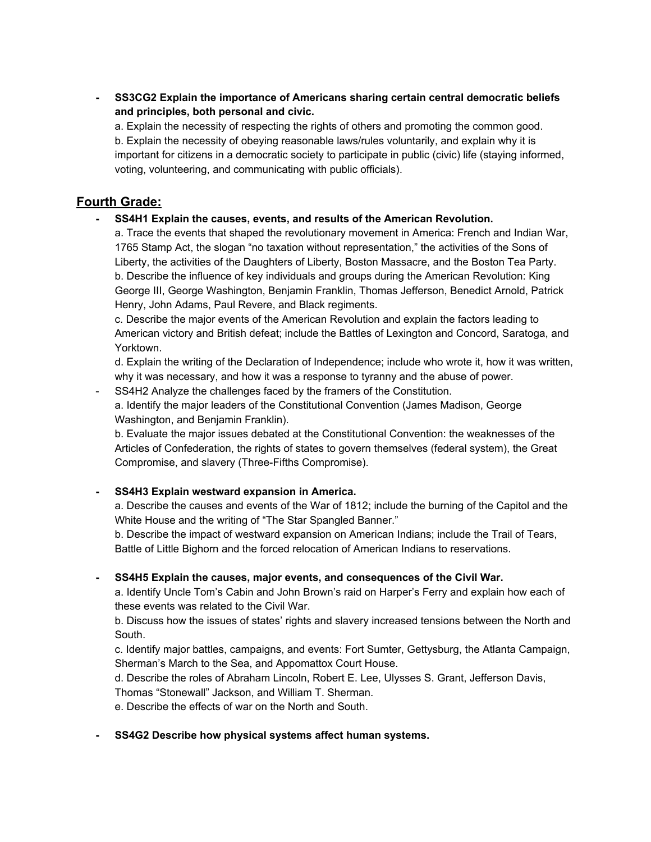**- SS3CG2 Explain the importance of Americans sharing certain central democratic beliefs and principles, both personal and civic.**

a. Explain the necessity of respecting the rights of others and promoting the common good. b. Explain the necessity of obeying reasonable laws/rules voluntarily, and explain why it is important for citizens in a democratic society to participate in public (civic) life (staying informed, voting, volunteering, and communicating with public officials).

# **Fourth Grade:**

**- SS4H1 Explain the causes, events, and results of the American Revolution.**

a. Trace the events that shaped the revolutionary movement in America: French and Indian War, 1765 Stamp Act, the slogan "no taxation without representation," the activities of the Sons of Liberty, the activities of the Daughters of Liberty, Boston Massacre, and the Boston Tea Party. b. Describe the influence of key individuals and groups during the American Revolution: King George III, George Washington, Benjamin Franklin, Thomas Jefferson, Benedict Arnold, Patrick Henry, John Adams, Paul Revere, and Black regiments.

c. Describe the major events of the American Revolution and explain the factors leading to American victory and British defeat; include the Battles of Lexington and Concord, Saratoga, and Yorktown.

d. Explain the writing of the Declaration of Independence; include who wrote it, how it was written, why it was necessary, and how it was a response to tyranny and the abuse of power.

SS4H2 Analyze the challenges faced by the framers of the Constitution.

a. Identify the major leaders of the Constitutional Convention (James Madison, George Washington, and Benjamin Franklin).

b. Evaluate the major issues debated at the Constitutional Convention: the weaknesses of the Articles of Confederation, the rights of states to govern themselves (federal system), the Great Compromise, and slavery (Three-Fifths Compromise).

### **- SS4H3 Explain westward expansion in America.**

a. Describe the causes and events of the War of 1812; include the burning of the Capitol and the White House and the writing of "The Star Spangled Banner."

b. Describe the impact of westward expansion on American Indians; include the Trail of Tears, Battle of Little Bighorn and the forced relocation of American Indians to reservations.

### **- SS4H5 Explain the causes, major events, and consequences of the Civil War.**

a. Identify Uncle Tom's Cabin and John Brown's raid on Harper's Ferry and explain how each of these events was related to the Civil War.

b. Discuss how the issues of states' rights and slavery increased tensions between the North and South.

c. Identify major battles, campaigns, and events: Fort Sumter, Gettysburg, the Atlanta Campaign, Sherman's March to the Sea, and Appomattox Court House.

d. Describe the roles of Abraham Lincoln, Robert E. Lee, Ulysses S. Grant, Jefferson Davis,

Thomas "Stonewall" Jackson, and William T. Sherman.

e. Describe the effects of war on the North and South.

#### **- SS4G2 Describe how physical systems affect human systems.**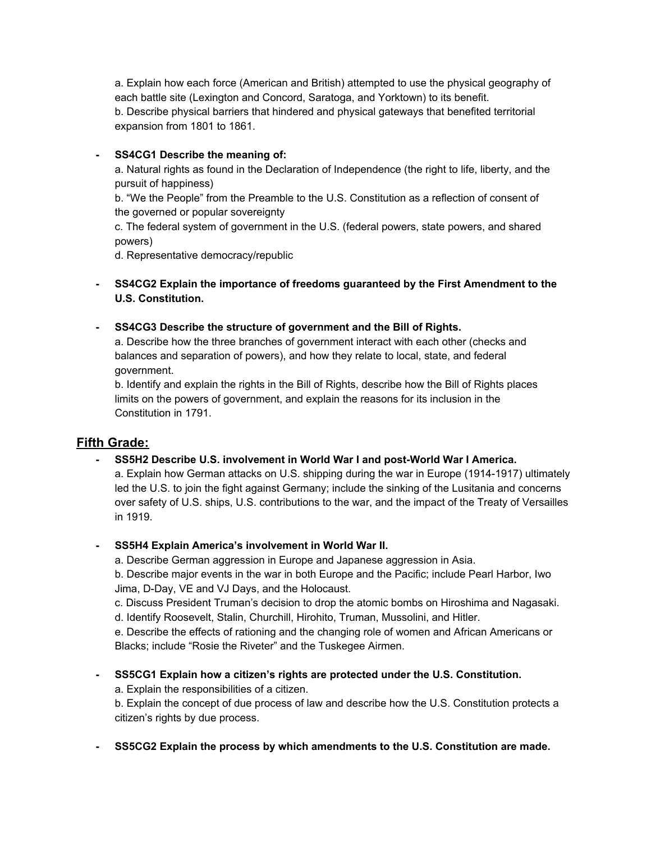a. Explain how each force (American and British) attempted to use the physical geography of each battle site (Lexington and Concord, Saratoga, and Yorktown) to its benefit. b. Describe physical barriers that hindered and physical gateways that benefited territorial expansion from 1801 to 1861.

### **- SS4CG1 Describe the meaning of:**

a. Natural rights as found in the Declaration of Independence (the right to life, liberty, and the pursuit of happiness)

b. "We the People" from the Preamble to the U.S. Constitution as a reflection of consent of the governed or popular sovereignty

c. The federal system of government in the U.S. (federal powers, state powers, and shared powers)

d. Representative democracy/republic

- **- SS4CG2 Explain the importance of freedoms guaranteed by the First Amendment to the U.S. Constitution.**
- **- SS4CG3 Describe the structure of government and the Bill of Rights.**

a. Describe how the three branches of government interact with each other (checks and balances and separation of powers), and how they relate to local, state, and federal government.

b. Identify and explain the rights in the Bill of Rights, describe how the Bill of Rights places limits on the powers of government, and explain the reasons for its inclusion in the Constitution in 1791.

# **Fifth Grade:**

**- SS5H2 Describe U.S. involvement in World War I and post-World War I America.**

a. Explain how German attacks on U.S. shipping during the war in Europe (1914-1917) ultimately led the U.S. to join the fight against Germany; include the sinking of the Lusitania and concerns over safety of U.S. ships, U.S. contributions to the war, and the impact of the Treaty of Versailles in 1919.

**- SS5H4 Explain America's involvement in World War II.**

a. Describe German aggression in Europe and Japanese aggression in Asia.

b. Describe major events in the war in both Europe and the Pacific; include Pearl Harbor, Iwo Jima, D-Day, VE and VJ Days, and the Holocaust.

c. Discuss President Truman's decision to drop the atomic bombs on Hiroshima and Nagasaki. d. Identify Roosevelt, Stalin, Churchill, Hirohito, Truman, Mussolini, and Hitler.

e. Describe the effects of rationing and the changing role of women and African Americans or Blacks; include "Rosie the Riveter" and the Tuskegee Airmen.

**- SS5CG1 Explain how a citizen's rights are protected under the U.S. Constitution.**

a. Explain the responsibilities of a citizen.

b. Explain the concept of due process of law and describe how the U.S. Constitution protects a citizen's rights by due process.

**- SS5CG2 Explain the process by which amendments to the U.S. Constitution are made.**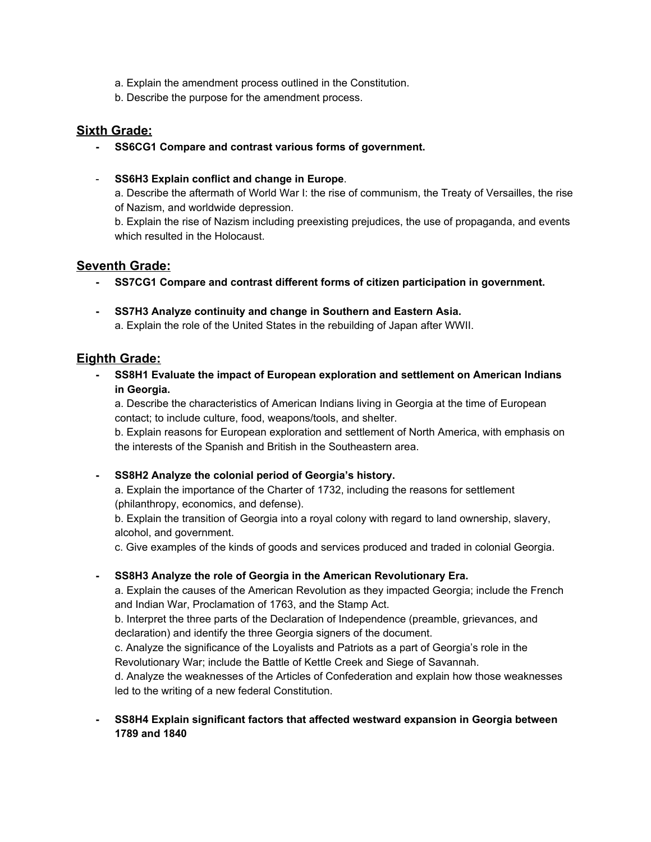- a. Explain the amendment process outlined in the Constitution.
- b. Describe the purpose for the amendment process.

# **Sixth Grade:**

- **- SS6CG1 Compare and contrast various forms of government.**
- **SS6H3 Explain conflict and change in Europe**.

a. Describe the aftermath of World War I: the rise of communism, the Treaty of Versailles, the rise of Nazism, and worldwide depression.

b. Explain the rise of Nazism including preexisting prejudices, the use of propaganda, and events which resulted in the Holocaust.

# **Seventh Grade:**

- **- SS7CG1 Compare and contrast different forms of citizen participation in government.**
- **- SS7H3 Analyze continuity and change in Southern and Eastern Asia.** a. Explain the role of the United States in the rebuilding of Japan after WWII.

# **Eighth Grade:**

**- SS8H1 Evaluate the impact of European exploration and settlement on American Indians in Georgia.**

a. Describe the characteristics of American Indians living in Georgia at the time of European contact; to include culture, food, weapons/tools, and shelter.

b. Explain reasons for European exploration and settlement of North America, with emphasis on the interests of the Spanish and British in the Southeastern area.

### **- SS8H2 Analyze the colonial period of Georgia's history.**

a. Explain the importance of the Charter of 1732, including the reasons for settlement (philanthropy, economics, and defense).

b. Explain the transition of Georgia into a royal colony with regard to land ownership, slavery, alcohol, and government.

c. Give examples of the kinds of goods and services produced and traded in colonial Georgia.

### **- SS8H3 Analyze the role of Georgia in the American Revolutionary Era.**

a. Explain the causes of the American Revolution as they impacted Georgia; include the French and Indian War, Proclamation of 1763, and the Stamp Act.

b. Interpret the three parts of the Declaration of Independence (preamble, grievances, and declaration) and identify the three Georgia signers of the document.

c. Analyze the significance of the Loyalists and Patriots as a part of Georgia's role in the Revolutionary War; include the Battle of Kettle Creek and Siege of Savannah.

d. Analyze the weaknesses of the Articles of Confederation and explain how those weaknesses led to the writing of a new federal Constitution.

### **- SS8H4 Explain significant factors that affected westward expansion in Georgia between 1789 and 1840**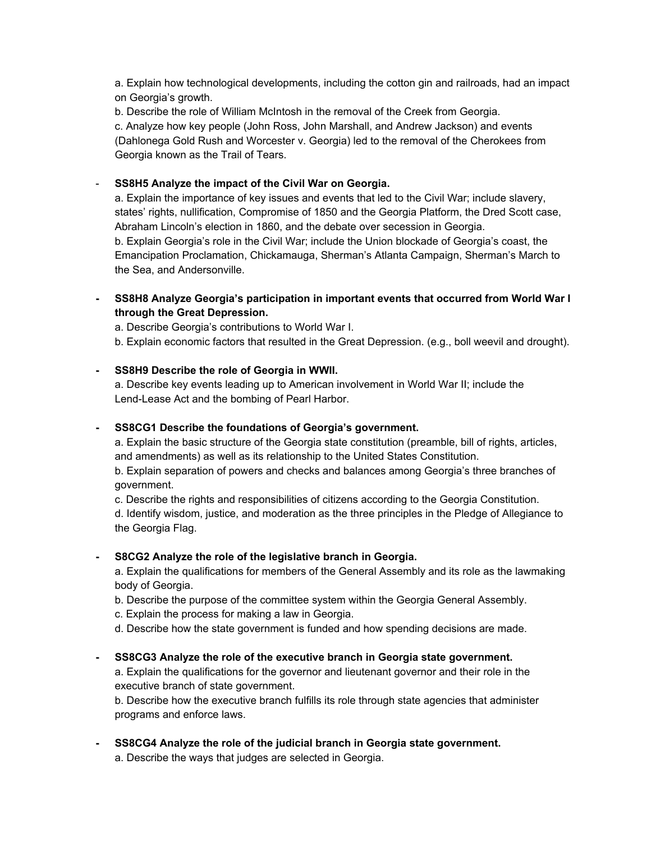a. Explain how technological developments, including the cotton gin and railroads, had an impact on Georgia's growth.

b. Describe the role of William McIntosh in the removal of the Creek from Georgia. c. Analyze how key people (John Ross, John Marshall, and Andrew Jackson) and events (Dahlonega Gold Rush and Worcester v. Georgia) led to the removal of the Cherokees from Georgia known as the Trail of Tears.

- **SS8H5 Analyze the impact of the Civil War on Georgia.**

a. Explain the importance of key issues and events that led to the Civil War; include slavery, states' rights, nullification, Compromise of 1850 and the Georgia Platform, the Dred Scott case, Abraham Lincoln's election in 1860, and the debate over secession in Georgia. b. Explain Georgia's role in the Civil War; include the Union blockade of Georgia's coast, the Emancipation Proclamation, Chickamauga, Sherman's Atlanta Campaign, Sherman's March to the Sea, and Andersonville.

**- SS8H8 Analyze Georgia's participation in important events that occurred from World War I through the Great Depression.**

a. Describe Georgia's contributions to World War I.

b. Explain economic factors that resulted in the Great Depression. (e.g., boll weevil and drought).

### **- SS8H9 Describe the role of Georgia in WWII.**

a. Describe key events leading up to American involvement in World War II; include the Lend-Lease Act and the bombing of Pearl Harbor.

### **- SS8CG1 Describe the foundations of Georgia's government.**

a. Explain the basic structure of the Georgia state constitution (preamble, bill of rights, articles, and amendments) as well as its relationship to the United States Constitution.

b. Explain separation of powers and checks and balances among Georgia's three branches of government.

c. Describe the rights and responsibilities of citizens according to the Georgia Constitution. d. Identify wisdom, justice, and moderation as the three principles in the Pledge of Allegiance to the Georgia Flag.

# **- S8CG2 Analyze the role of the legislative branch in Georgia.**

a. Explain the qualifications for members of the General Assembly and its role as the lawmaking body of Georgia.

- b. Describe the purpose of the committee system within the Georgia General Assembly.
- c. Explain the process for making a law in Georgia.
- d. Describe how the state government is funded and how spending decisions are made.

# **- SS8CG3 Analyze the role of the executive branch in Georgia state government.**

a. Explain the qualifications for the governor and lieutenant governor and their role in the executive branch of state government.

b. Describe how the executive branch fulfills its role through state agencies that administer programs and enforce laws.

**- SS8CG4 Analyze the role of the judicial branch in Georgia state government.** a. Describe the ways that judges are selected in Georgia.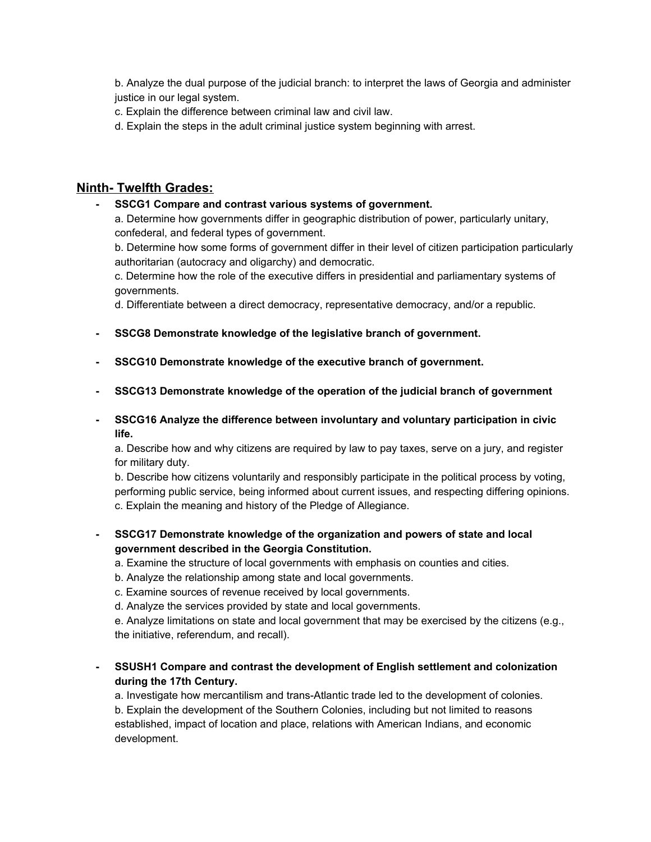b. Analyze the dual purpose of the judicial branch: to interpret the laws of Georgia and administer justice in our legal system.

- c. Explain the difference between criminal law and civil law.
- d. Explain the steps in the adult criminal justice system beginning with arrest.

### **Ninth- Twelfth Grades:**

**- SSCG1 Compare and contrast various systems of government.**

a. Determine how governments differ in geographic distribution of power, particularly unitary, confederal, and federal types of government.

b. Determine how some forms of government differ in their level of citizen participation particularly authoritarian (autocracy and oligarchy) and democratic.

c. Determine how the role of the executive differs in presidential and parliamentary systems of governments.

d. Differentiate between a direct democracy, representative democracy, and/or a republic.

- **- SSCG8 Demonstrate knowledge of the legislative branch of government.**
- **- SSCG10 Demonstrate knowledge of the executive branch of government.**
- **- SSCG13 Demonstrate knowledge of the operation of the judicial branch of government**
- **- SSCG16 Analyze the difference between involuntary and voluntary participation in civic life.**

a. Describe how and why citizens are required by law to pay taxes, serve on a jury, and register for military duty.

b. Describe how citizens voluntarily and responsibly participate in the political process by voting, performing public service, being informed about current issues, and respecting differing opinions. c. Explain the meaning and history of the Pledge of Allegiance.

- **- SSCG17 Demonstrate knowledge of the organization and powers of state and local government described in the Georgia Constitution.**
	- a. Examine the structure of local governments with emphasis on counties and cities.
	- b. Analyze the relationship among state and local governments.
	- c. Examine sources of revenue received by local governments.
	- d. Analyze the services provided by state and local governments.

e. Analyze limitations on state and local government that may be exercised by the citizens (e.g., the initiative, referendum, and recall).

**- SSUSH1 Compare and contrast the development of English settlement and colonization during the 17th Century.**

a. Investigate how mercantilism and trans-Atlantic trade led to the development of colonies. b. Explain the development of the Southern Colonies, including but not limited to reasons established, impact of location and place, relations with American Indians, and economic development.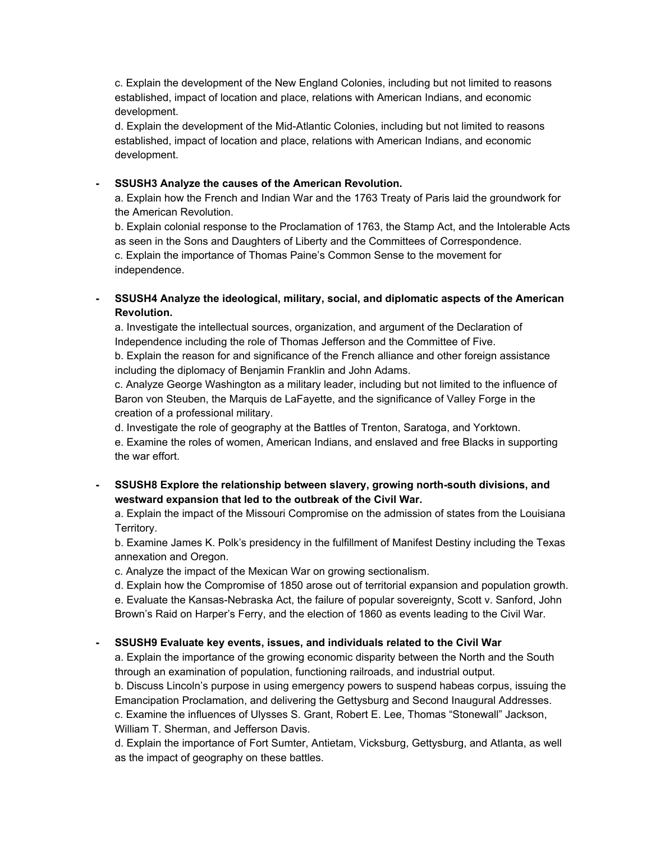c. Explain the development of the New England Colonies, including but not limited to reasons established, impact of location and place, relations with American Indians, and economic development.

d. Explain the development of the Mid-Atlantic Colonies, including but not limited to reasons established, impact of location and place, relations with American Indians, and economic development.

#### **- SSUSH3 Analyze the causes of the American Revolution.**

a. Explain how the French and Indian War and the 1763 Treaty of Paris laid the groundwork for the American Revolution.

b. Explain colonial response to the Proclamation of 1763, the Stamp Act, and the Intolerable Acts as seen in the Sons and Daughters of Liberty and the Committees of Correspondence. c. Explain the importance of Thomas Paine's Common Sense to the movement for independence.

**- SSUSH4 Analyze the ideological, military, social, and diplomatic aspects of the American Revolution.**

a. Investigate the intellectual sources, organization, and argument of the Declaration of Independence including the role of Thomas Jefferson and the Committee of Five. b. Explain the reason for and significance of the French alliance and other foreign assistance including the diplomacy of Benjamin Franklin and John Adams.

c. Analyze George Washington as a military leader, including but not limited to the influence of Baron von Steuben, the Marquis de LaFayette, and the significance of Valley Forge in the creation of a professional military.

d. Investigate the role of geography at the Battles of Trenton, Saratoga, and Yorktown. e. Examine the roles of women, American Indians, and enslaved and free Blacks in supporting the war effort.

**- SSUSH8 Explore the relationship between slavery, growing north-south divisions, and westward expansion that led to the outbreak of the Civil War.**

a. Explain the impact of the Missouri Compromise on the admission of states from the Louisiana Territory.

b. Examine James K. Polk's presidency in the fulfillment of Manifest Destiny including the Texas annexation and Oregon.

c. Analyze the impact of the Mexican War on growing sectionalism.

d. Explain how the Compromise of 1850 arose out of territorial expansion and population growth. e. Evaluate the Kansas-Nebraska Act, the failure of popular sovereignty, Scott v. Sanford, John Brown's Raid on Harper's Ferry, and the election of 1860 as events leading to the Civil War.

### **- SSUSH9 Evaluate key events, issues, and individuals related to the Civil War**

a. Explain the importance of the growing economic disparity between the North and the South through an examination of population, functioning railroads, and industrial output.

b. Discuss Lincoln's purpose in using emergency powers to suspend habeas corpus, issuing the Emancipation Proclamation, and delivering the Gettysburg and Second Inaugural Addresses. c. Examine the influences of Ulysses S. Grant, Robert E. Lee, Thomas "Stonewall" Jackson, William T. Sherman, and Jefferson Davis.

d. Explain the importance of Fort Sumter, Antietam, Vicksburg, Gettysburg, and Atlanta, as well as the impact of geography on these battles.